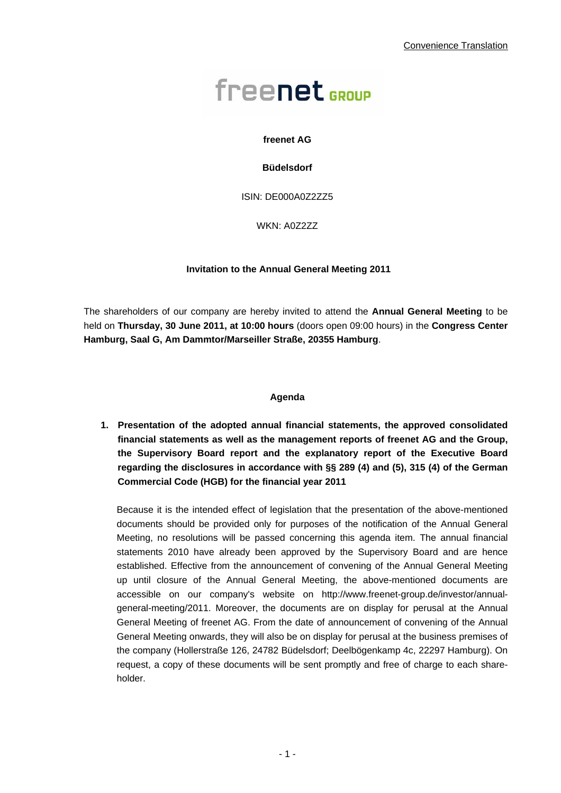# freenet<sub>sroup</sub>

## **freenet AG**

## **Büdelsdorf**

ISIN: DE000A0Z2ZZ5

WKN: A0Z2ZZ

## **Invitation to the Annual General Meeting 2011**

The shareholders of our company are hereby invited to attend the **Annual General Meeting** to be held on **Thursday, 30 June 2011, at 10:00 hours** (doors open 09:00 hours) in the **Congress Center Hamburg, Saal G, Am Dammtor/Marseiller Straße, 20355 Hamburg**.

## **Agenda**

**1. Presentation of the adopted annual financial statements, the approved consolidated financial statements as well as the management reports of freenet AG and the Group, the Supervisory Board report and the explanatory report of the Executive Board regarding the disclosures in accordance with §§ 289 (4) and (5), 315 (4) of the German Commercial Code (HGB) for the financial year 2011** 

Because it is the intended effect of legislation that the presentation of the above-mentioned documents should be provided only for purposes of the notification of the Annual General Meeting, no resolutions will be passed concerning this agenda item. The annual financial statements 2010 have already been approved by the Supervisory Board and are hence established. Effective from the announcement of convening of the Annual General Meeting up until closure of the Annual General Meeting, the above-mentioned documents are accessible on our company's website on http://www.freenet-group.de/investor/annualgeneral-meeting/2011. Moreover, the documents are on display for perusal at the Annual General Meeting of freenet AG. From the date of announcement of convening of the Annual General Meeting onwards, they will also be on display for perusal at the business premises of the company (Hollerstraße 126, 24782 Büdelsdorf; Deelbögenkamp 4c, 22297 Hamburg). On request, a copy of these documents will be sent promptly and free of charge to each shareholder.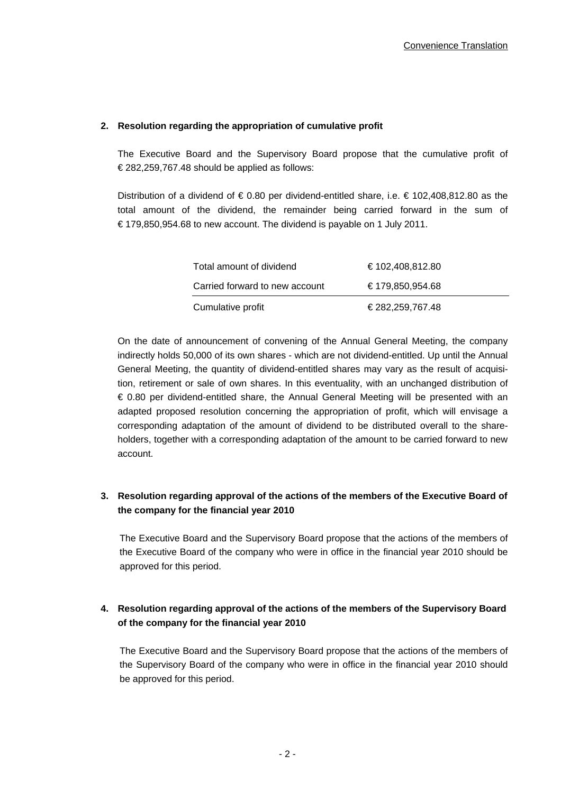## **2. Resolution regarding the appropriation of cumulative profit**

The Executive Board and the Supervisory Board propose that the cumulative profit of € 282,259,767.48 should be applied as follows:

Distribution of a dividend of € 0.80 per dividend-entitled share, i.e. € 102,408,812.80 as the total amount of the dividend, the remainder being carried forward in the sum of € 179,850,954.68 to new account. The dividend is payable on 1 July 2011.

| Total amount of dividend       | €102,408,812.80 |
|--------------------------------|-----------------|
| Carried forward to new account | €179,850,954.68 |
| Cumulative profit              | €282,259,767.48 |

On the date of announcement of convening of the Annual General Meeting, the company indirectly holds 50,000 of its own shares - which are not dividend-entitled. Up until the Annual General Meeting, the quantity of dividend-entitled shares may vary as the result of acquisition, retirement or sale of own shares. In this eventuality, with an unchanged distribution of € 0.80 per dividend-entitled share, the Annual General Meeting will be presented with an adapted proposed resolution concerning the appropriation of profit, which will envisage a corresponding adaptation of the amount of dividend to be distributed overall to the shareholders, together with a corresponding adaptation of the amount to be carried forward to new account.

# **3. Resolution regarding approval of the actions of the members of the Executive Board of the company for the financial year 2010**

The Executive Board and the Supervisory Board propose that the actions of the members of the Executive Board of the company who were in office in the financial year 2010 should be approved for this period.

# **4. Resolution regarding approval of the actions of the members of the Supervisory Board of the company for the financial year 2010**

The Executive Board and the Supervisory Board propose that the actions of the members of the Supervisory Board of the company who were in office in the financial year 2010 should be approved for this period.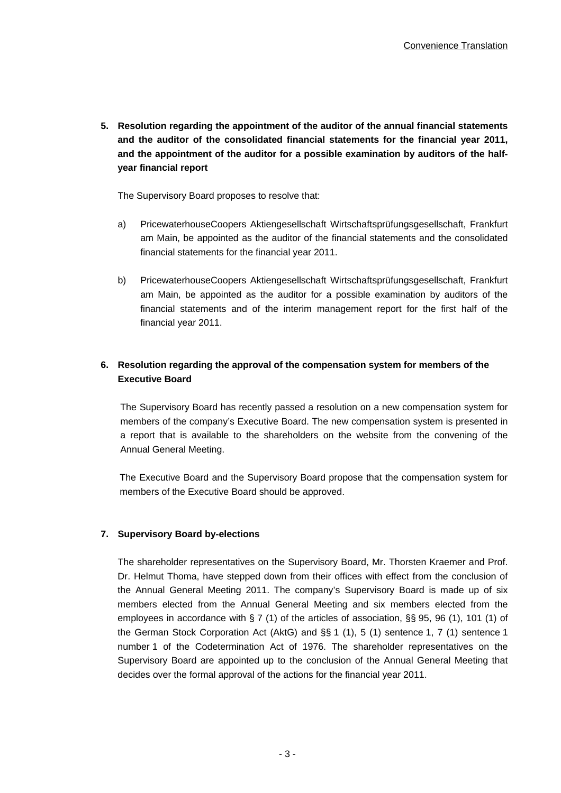**5. Resolution regarding the appointment of the auditor of the annual financial statements and the auditor of the consolidated financial statements for the financial year 2011, and the appointment of the auditor for a possible examination by auditors of the halfyear financial report** 

The Supervisory Board proposes to resolve that:

- a) PricewaterhouseCoopers Aktiengesellschaft Wirtschaftsprüfungsgesellschaft, Frankfurt am Main, be appointed as the auditor of the financial statements and the consolidated financial statements for the financial year 2011.
- b) PricewaterhouseCoopers Aktiengesellschaft Wirtschaftsprüfungsgesellschaft, Frankfurt am Main, be appointed as the auditor for a possible examination by auditors of the financial statements and of the interim management report for the first half of the financial year 2011.

# **6. Resolution regarding the approval of the compensation system for members of the Executive Board**

The Supervisory Board has recently passed a resolution on a new compensation system for members of the company's Executive Board. The new compensation system is presented in a report that is available to the shareholders on the website from the convening of the Annual General Meeting.

The Executive Board and the Supervisory Board propose that the compensation system for members of the Executive Board should be approved.

## **7. Supervisory Board by-elections**

The shareholder representatives on the Supervisory Board, Mr. Thorsten Kraemer and Prof. Dr. Helmut Thoma, have stepped down from their offices with effect from the conclusion of the Annual General Meeting 2011. The company's Supervisory Board is made up of six members elected from the Annual General Meeting and six members elected from the employees in accordance with § 7 (1) of the articles of association, §§ 95, 96 (1), 101 (1) of the German Stock Corporation Act (AktG) and §§ 1 (1), 5 (1) sentence 1, 7 (1) sentence 1 number 1 of the Codetermination Act of 1976. The shareholder representatives on the Supervisory Board are appointed up to the conclusion of the Annual General Meeting that decides over the formal approval of the actions for the financial year 2011.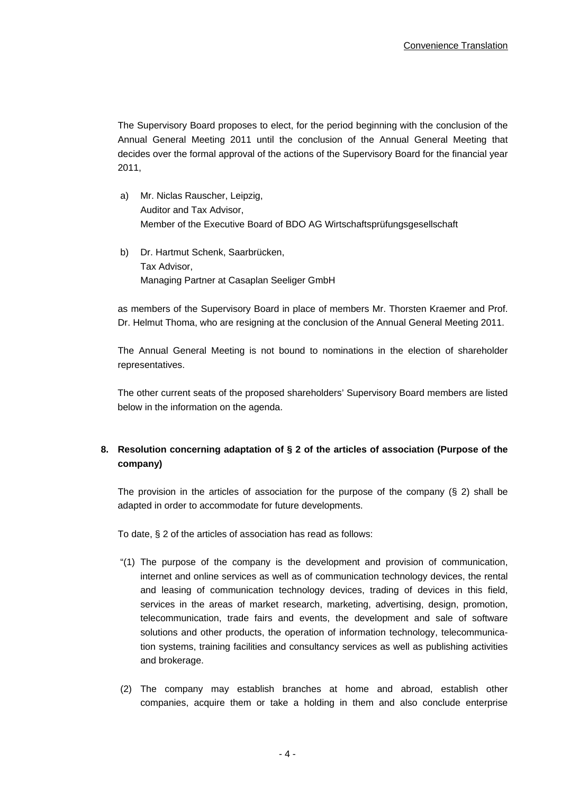The Supervisory Board proposes to elect, for the period beginning with the conclusion of the Annual General Meeting 2011 until the conclusion of the Annual General Meeting that decides over the formal approval of the actions of the Supervisory Board for the financial year 2011,

- a) Mr. Niclas Rauscher, Leipzig, Auditor and Tax Advisor, Member of the Executive Board of BDO AG Wirtschaftsprüfungsgesellschaft
- b) Dr. Hartmut Schenk, Saarbrücken, Tax Advisor, Managing Partner at Casaplan Seeliger GmbH

as members of the Supervisory Board in place of members Mr. Thorsten Kraemer and Prof. Dr. Helmut Thoma, who are resigning at the conclusion of the Annual General Meeting 2011.

The Annual General Meeting is not bound to nominations in the election of shareholder representatives.

The other current seats of the proposed shareholders' Supervisory Board members are listed below in the information on the agenda.

# **8. Resolution concerning adaptation of § 2 of the articles of association (Purpose of the company)**

The provision in the articles of association for the purpose of the company (§ 2) shall be adapted in order to accommodate for future developments.

To date, § 2 of the articles of association has read as follows:

- "(1) The purpose of the company is the development and provision of communication, internet and online services as well as of communication technology devices, the rental and leasing of communication technology devices, trading of devices in this field, services in the areas of market research, marketing, advertising, design, promotion, telecommunication, trade fairs and events, the development and sale of software solutions and other products, the operation of information technology, telecommunication systems, training facilities and consultancy services as well as publishing activities and brokerage.
- (2) The company may establish branches at home and abroad, establish other companies, acquire them or take a holding in them and also conclude enterprise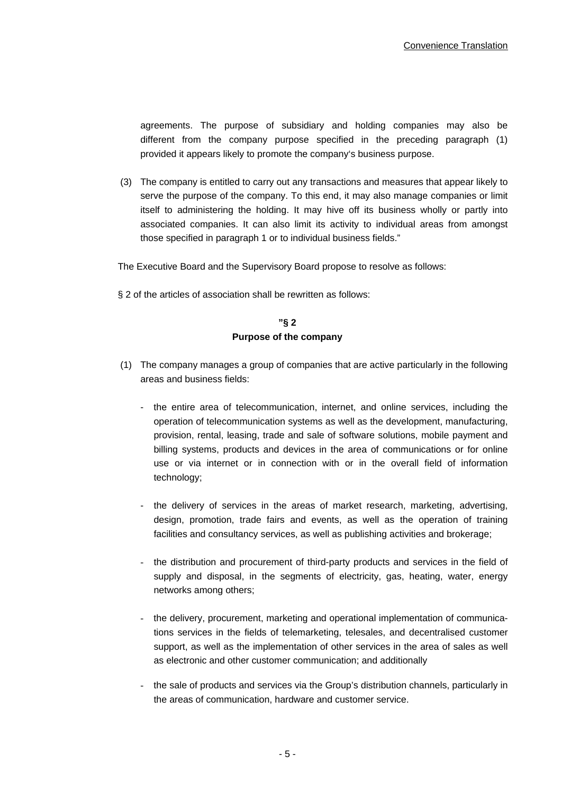agreements. The purpose of subsidiary and holding companies may also be different from the company purpose specified in the preceding paragraph (1) provided it appears likely to promote the company's business purpose.

(3) The company is entitled to carry out any transactions and measures that appear likely to serve the purpose of the company. To this end, it may also manage companies or limit itself to administering the holding. It may hive off its business wholly or partly into associated companies. It can also limit its activity to individual areas from amongst those specified in paragraph 1 or to individual business fields."

The Executive Board and the Supervisory Board propose to resolve as follows:

§ 2 of the articles of association shall be rewritten as follows:

# **"§ 2 Purpose of the company**

- (1) The company manages a group of companies that are active particularly in the following areas and business fields:
	- the entire area of telecommunication, internet, and online services, including the operation of telecommunication systems as well as the development, manufacturing, provision, rental, leasing, trade and sale of software solutions, mobile payment and billing systems, products and devices in the area of communications or for online use or via internet or in connection with or in the overall field of information technology;
	- the delivery of services in the areas of market research, marketing, advertising, design, promotion, trade fairs and events, as well as the operation of training facilities and consultancy services, as well as publishing activities and brokerage;
	- the distribution and procurement of third-party products and services in the field of supply and disposal, in the segments of electricity, gas, heating, water, energy networks among others;
	- the delivery, procurement, marketing and operational implementation of communications services in the fields of telemarketing, telesales, and decentralised customer support, as well as the implementation of other services in the area of sales as well as electronic and other customer communication; and additionally
	- the sale of products and services via the Group's distribution channels, particularly in the areas of communication, hardware and customer service.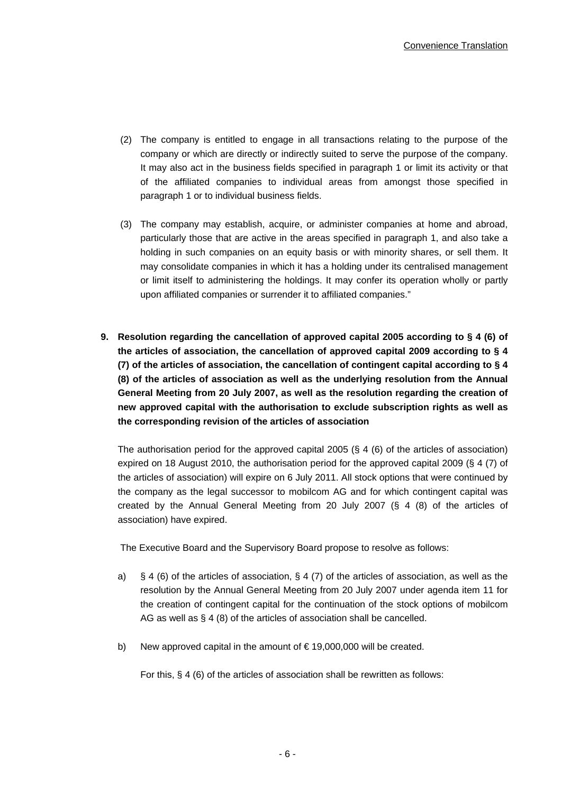- (2) The company is entitled to engage in all transactions relating to the purpose of the company or which are directly or indirectly suited to serve the purpose of the company. It may also act in the business fields specified in paragraph 1 or limit its activity or that of the affiliated companies to individual areas from amongst those specified in paragraph 1 or to individual business fields.
- (3) The company may establish, acquire, or administer companies at home and abroad, particularly those that are active in the areas specified in paragraph 1, and also take a holding in such companies on an equity basis or with minority shares, or sell them. It may consolidate companies in which it has a holding under its centralised management or limit itself to administering the holdings. It may confer its operation wholly or partly upon affiliated companies or surrender it to affiliated companies."
- **9. Resolution regarding the cancellation of approved capital 2005 according to § 4 (6) of the articles of association, the cancellation of approved capital 2009 according to § 4 (7) of the articles of association, the cancellation of contingent capital according to § 4 (8) of the articles of association as well as the underlying resolution from the Annual General Meeting from 20 July 2007, as well as the resolution regarding the creation of new approved capital with the authorisation to exclude subscription rights as well as the corresponding revision of the articles of association**

The authorisation period for the approved capital 2005 (§ 4 (6) of the articles of association) expired on 18 August 2010, the authorisation period for the approved capital 2009 (§ 4 (7) of the articles of association) will expire on 6 July 2011. All stock options that were continued by the company as the legal successor to mobilcom AG and for which contingent capital was created by the Annual General Meeting from 20 July 2007 (§ 4 (8) of the articles of association) have expired.

The Executive Board and the Supervisory Board propose to resolve as follows:

- a) § 4 (6) of the articles of association, § 4 (7) of the articles of association, as well as the resolution by the Annual General Meeting from 20 July 2007 under agenda item 11 for the creation of contingent capital for the continuation of the stock options of mobilcom AG as well as § 4 (8) of the articles of association shall be cancelled.
- b) New approved capital in the amount of  $\epsilon$  19,000,000 will be created.

For this, § 4 (6) of the articles of association shall be rewritten as follows: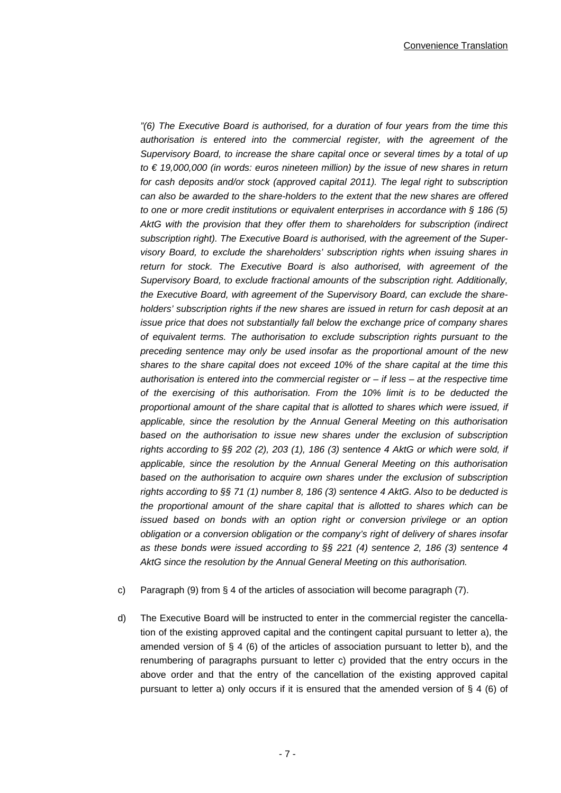*"(6) The Executive Board is authorised, for a duration of four years from the time this authorisation is entered into the commercial register, with the agreement of the Supervisory Board, to increase the share capital once or several times by a total of up to € 19,000,000 (in words: euros nineteen million) by the issue of new shares in return for cash deposits and/or stock (approved capital 2011). The legal right to subscription can also be awarded to the share-holders to the extent that the new shares are offered to one or more credit institutions or equivalent enterprises in accordance with § 186 (5) AktG with the provision that they offer them to shareholders for subscription (indirect subscription right). The Executive Board is authorised, with the agreement of the Supervisory Board, to exclude the shareholders' subscription rights when issuing shares in return for stock. The Executive Board is also authorised, with agreement of the Supervisory Board, to exclude fractional amounts of the subscription right. Additionally, the Executive Board, with agreement of the Supervisory Board, can exclude the shareholders' subscription rights if the new shares are issued in return for cash deposit at an issue price that does not substantially fall below the exchange price of company shares of equivalent terms. The authorisation to exclude subscription rights pursuant to the preceding sentence may only be used insofar as the proportional amount of the new shares to the share capital does not exceed 10% of the share capital at the time this authorisation is entered into the commercial register or – if less – at the respective time of the exercising of this authorisation. From the 10% limit is to be deducted the proportional amount of the share capital that is allotted to shares which were issued, if applicable, since the resolution by the Annual General Meeting on this authorisation based on the authorisation to issue new shares under the exclusion of subscription rights according to §§ 202 (2), 203 (1), 186 (3) sentence 4 AktG or which were sold, if applicable, since the resolution by the Annual General Meeting on this authorisation based on the authorisation to acquire own shares under the exclusion of subscription rights according to §§ 71 (1) number 8, 186 (3) sentence 4 AktG. Also to be deducted is the proportional amount of the share capital that is allotted to shares which can be issued based on bonds with an option right or conversion privilege or an option obligation or a conversion obligation or the company's right of delivery of shares insofar as these bonds were issued according to §§ 221 (4) sentence 2, 186 (3) sentence 4 AktG since the resolution by the Annual General Meeting on this authorisation.* 

- c) Paragraph (9) from § 4 of the articles of association will become paragraph (7).
- d) The Executive Board will be instructed to enter in the commercial register the cancellation of the existing approved capital and the contingent capital pursuant to letter a), the amended version of  $\S 4$  (6) of the articles of association pursuant to letter b), and the renumbering of paragraphs pursuant to letter c) provided that the entry occurs in the above order and that the entry of the cancellation of the existing approved capital pursuant to letter a) only occurs if it is ensured that the amended version of § 4 (6) of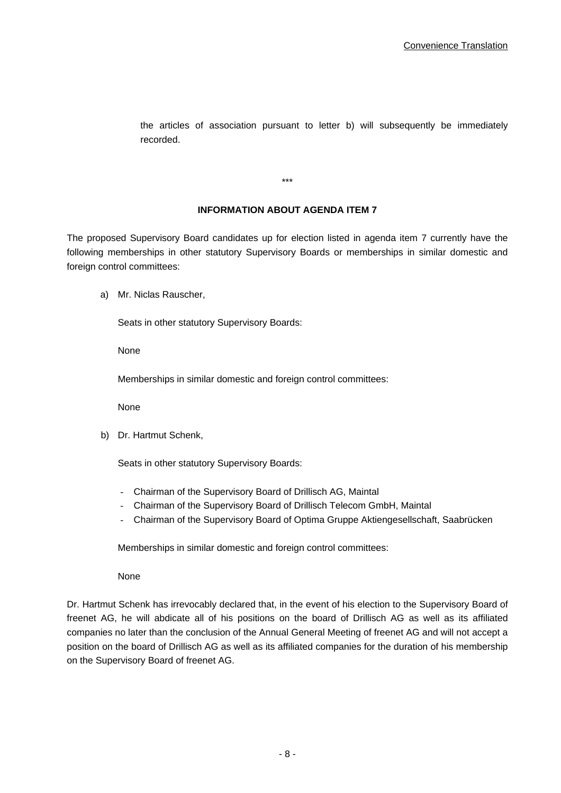the articles of association pursuant to letter b) will subsequently be immediately recorded.

**INFORMATION ABOUT AGENDA ITEM 7** 

\*\*\*

The proposed Supervisory Board candidates up for election listed in agenda item 7 currently have the following memberships in other statutory Supervisory Boards or memberships in similar domestic and foreign control committees:

a) Mr. Niclas Rauscher,

Seats in other statutory Supervisory Boards:

None

Memberships in similar domestic and foreign control committees:

None

b) Dr. Hartmut Schenk,

Seats in other statutory Supervisory Boards:

- Chairman of the Supervisory Board of Drillisch AG, Maintal
- Chairman of the Supervisory Board of Drillisch Telecom GmbH, Maintal
- Chairman of the Supervisory Board of Optima Gruppe Aktiengesellschaft, Saabrücken

Memberships in similar domestic and foreign control committees:

None

Dr. Hartmut Schenk has irrevocably declared that, in the event of his election to the Supervisory Board of freenet AG, he will abdicate all of his positions on the board of Drillisch AG as well as its affiliated companies no later than the conclusion of the Annual General Meeting of freenet AG and will not accept a position on the board of Drillisch AG as well as its affiliated companies for the duration of his membership on the Supervisory Board of freenet AG.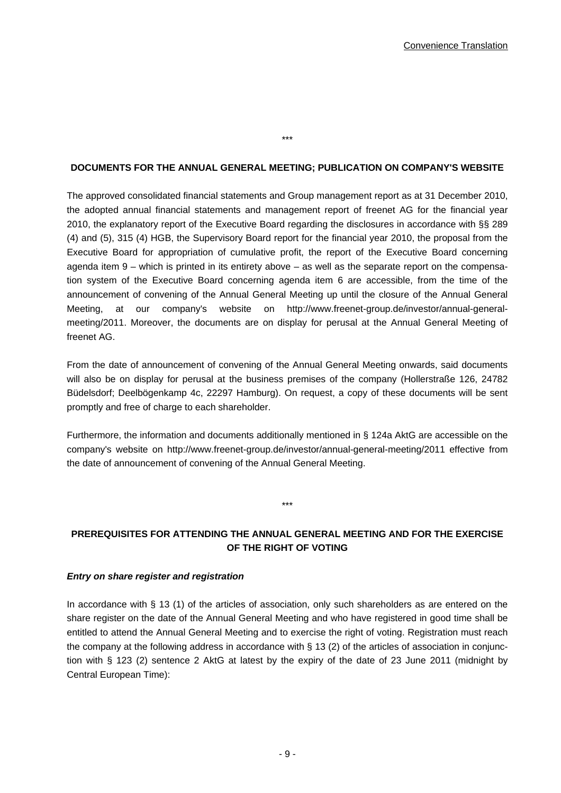#### **DOCUMENTS FOR THE ANNUAL GENERAL MEETING; PUBLICATION ON COMPANY'S WEBSITE**

\*\*\*

The approved consolidated financial statements and Group management report as at 31 December 2010, the adopted annual financial statements and management report of freenet AG for the financial year 2010, the explanatory report of the Executive Board regarding the disclosures in accordance with §§ 289 (4) and (5), 315 (4) HGB, the Supervisory Board report for the financial year 2010, the proposal from the Executive Board for appropriation of cumulative profit, the report of the Executive Board concerning agenda item 9 – which is printed in its entirety above – as well as the separate report on the compensation system of the Executive Board concerning agenda item 6 are accessible, from the time of the announcement of convening of the Annual General Meeting up until the closure of the Annual General Meeting, at our company's website on http://www.freenet-group.de/investor/annual-generalmeeting/2011. Moreover, the documents are on display for perusal at the Annual General Meeting of freenet AG.

From the date of announcement of convening of the Annual General Meeting onwards, said documents will also be on display for perusal at the business premises of the company (Hollerstraße 126, 24782 Büdelsdorf; Deelbögenkamp 4c, 22297 Hamburg). On request, a copy of these documents will be sent promptly and free of charge to each shareholder.

Furthermore, the information and documents additionally mentioned in § 124a AktG are accessible on the company's website on http://www.freenet-group.de/investor/annual-general-meeting/2011 effective from the date of announcement of convening of the Annual General Meeting.

# **PREREQUISITES FOR ATTENDING THE ANNUAL GENERAL MEETING AND FOR THE EXERCISE OF THE RIGHT OF VOTING**

\*\*\*

#### *Entry on share register and registration*

In accordance with § 13 (1) of the articles of association, only such shareholders as are entered on the share register on the date of the Annual General Meeting and who have registered in good time shall be entitled to attend the Annual General Meeting and to exercise the right of voting. Registration must reach the company at the following address in accordance with § 13 (2) of the articles of association in conjunction with § 123 (2) sentence 2 AktG at latest by the expiry of the date of 23 June 2011 (midnight by Central European Time):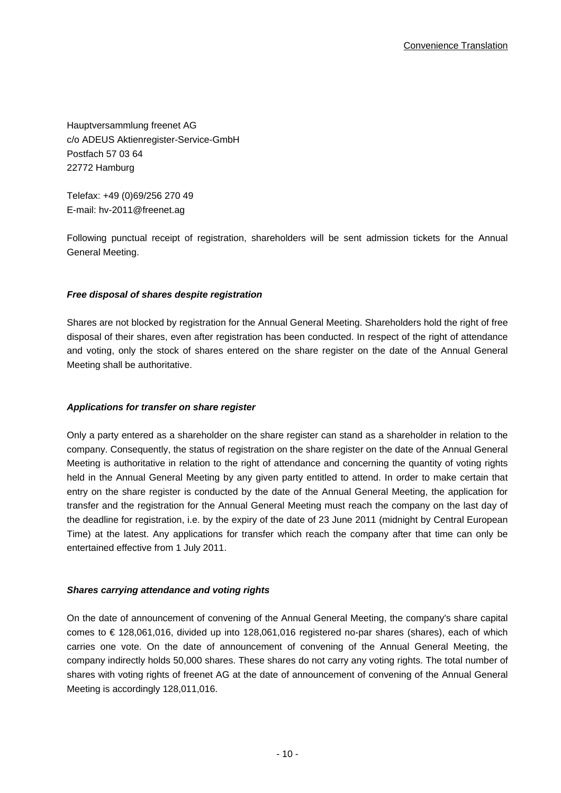Hauptversammlung freenet AG c/o ADEUS Aktienregister-Service-GmbH Postfach 57 03 64 22772 Hamburg

Telefax: +49 (0)69/256 270 49 E-mail: hv-2011@freenet.ag

Following punctual receipt of registration, shareholders will be sent admission tickets for the Annual General Meeting.

## *Free disposal of shares despite registration*

Shares are not blocked by registration for the Annual General Meeting. Shareholders hold the right of free disposal of their shares, even after registration has been conducted. In respect of the right of attendance and voting, only the stock of shares entered on the share register on the date of the Annual General Meeting shall be authoritative.

## *Applications for transfer on share register*

Only a party entered as a shareholder on the share register can stand as a shareholder in relation to the company. Consequently, the status of registration on the share register on the date of the Annual General Meeting is authoritative in relation to the right of attendance and concerning the quantity of voting rights held in the Annual General Meeting by any given party entitled to attend. In order to make certain that entry on the share register is conducted by the date of the Annual General Meeting, the application for transfer and the registration for the Annual General Meeting must reach the company on the last day of the deadline for registration, i.e. by the expiry of the date of 23 June 2011 (midnight by Central European Time) at the latest. Any applications for transfer which reach the company after that time can only be entertained effective from 1 July 2011.

## *Shares carrying attendance and voting rights*

On the date of announcement of convening of the Annual General Meeting, the company's share capital comes to € 128,061,016, divided up into 128,061,016 registered no-par shares (shares), each of which carries one vote. On the date of announcement of convening of the Annual General Meeting, the company indirectly holds 50,000 shares. These shares do not carry any voting rights. The total number of shares with voting rights of freenet AG at the date of announcement of convening of the Annual General Meeting is accordingly 128,011,016.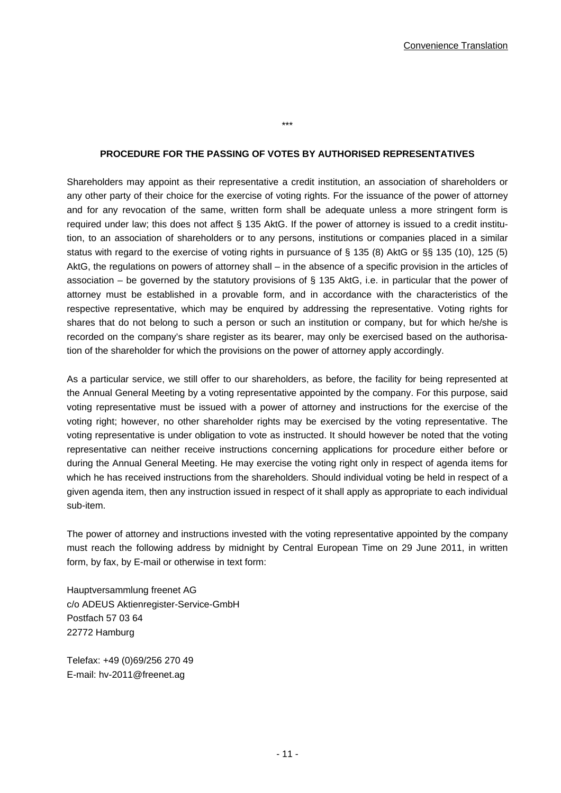#### **PROCEDURE FOR THE PASSING OF VOTES BY AUTHORISED REPRESENTATIVES**

\*\*\*

Shareholders may appoint as their representative a credit institution, an association of shareholders or any other party of their choice for the exercise of voting rights. For the issuance of the power of attorney and for any revocation of the same, written form shall be adequate unless a more stringent form is required under law; this does not affect § 135 AktG. If the power of attorney is issued to a credit institution, to an association of shareholders or to any persons, institutions or companies placed in a similar status with regard to the exercise of voting rights in pursuance of § 135 (8) AktG or §§ 135 (10), 125 (5) AktG, the regulations on powers of attorney shall – in the absence of a specific provision in the articles of association – be governed by the statutory provisions of § 135 AktG, i.e. in particular that the power of attorney must be established in a provable form, and in accordance with the characteristics of the respective representative, which may be enquired by addressing the representative. Voting rights for shares that do not belong to such a person or such an institution or company, but for which he/she is recorded on the company's share register as its bearer, may only be exercised based on the authorisation of the shareholder for which the provisions on the power of attorney apply accordingly.

As a particular service, we still offer to our shareholders, as before, the facility for being represented at the Annual General Meeting by a voting representative appointed by the company. For this purpose, said voting representative must be issued with a power of attorney and instructions for the exercise of the voting right; however, no other shareholder rights may be exercised by the voting representative. The voting representative is under obligation to vote as instructed. It should however be noted that the voting representative can neither receive instructions concerning applications for procedure either before or during the Annual General Meeting. He may exercise the voting right only in respect of agenda items for which he has received instructions from the shareholders. Should individual voting be held in respect of a given agenda item, then any instruction issued in respect of it shall apply as appropriate to each individual sub-item.

The power of attorney and instructions invested with the voting representative appointed by the company must reach the following address by midnight by Central European Time on 29 June 2011, in written form, by fax, by E-mail or otherwise in text form:

Hauptversammlung freenet AG c/o ADEUS Aktienregister-Service-GmbH Postfach 57 03 64 22772 Hamburg

Telefax: +49 (0)69/256 270 49 E-mail: hv-2011@freenet.ag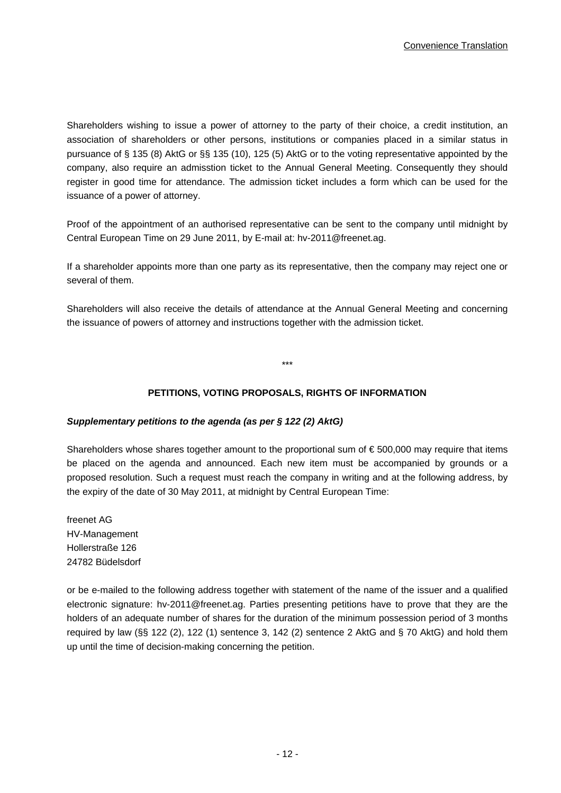Shareholders wishing to issue a power of attorney to the party of their choice, a credit institution, an association of shareholders or other persons, institutions or companies placed in a similar status in pursuance of § 135 (8) AktG or §§ 135 (10), 125 (5) AktG or to the voting representative appointed by the company, also require an admisstion ticket to the Annual General Meeting. Consequently they should register in good time for attendance. The admission ticket includes a form which can be used for the issuance of a power of attorney.

Proof of the appointment of an authorised representative can be sent to the company until midnight by Central European Time on 29 June 2011, by E-mail at: hv-2011@freenet.ag.

If a shareholder appoints more than one party as its representative, then the company may reject one or several of them.

Shareholders will also receive the details of attendance at the Annual General Meeting and concerning the issuance of powers of attorney and instructions together with the admission ticket.

\*\*\*

# **PETITIONS, VOTING PROPOSALS, RIGHTS OF INFORMATION**

## *Supplementary petitions to the agenda (as per § 122 (2) AktG)*

Shareholders whose shares together amount to the proportional sum of  $\epsilon$  500,000 may require that items be placed on the agenda and announced. Each new item must be accompanied by grounds or a proposed resolution. Such a request must reach the company in writing and at the following address, by the expiry of the date of 30 May 2011, at midnight by Central European Time:

freenet AG HV-Management Hollerstraße 126 24782 Büdelsdorf

or be e-mailed to the following address together with statement of the name of the issuer and a qualified electronic signature: hv-2011@freenet.ag. Parties presenting petitions have to prove that they are the holders of an adequate number of shares for the duration of the minimum possession period of 3 months required by law (§§ 122 (2), 122 (1) sentence 3, 142 (2) sentence 2 AktG and § 70 AktG) and hold them up until the time of decision-making concerning the petition.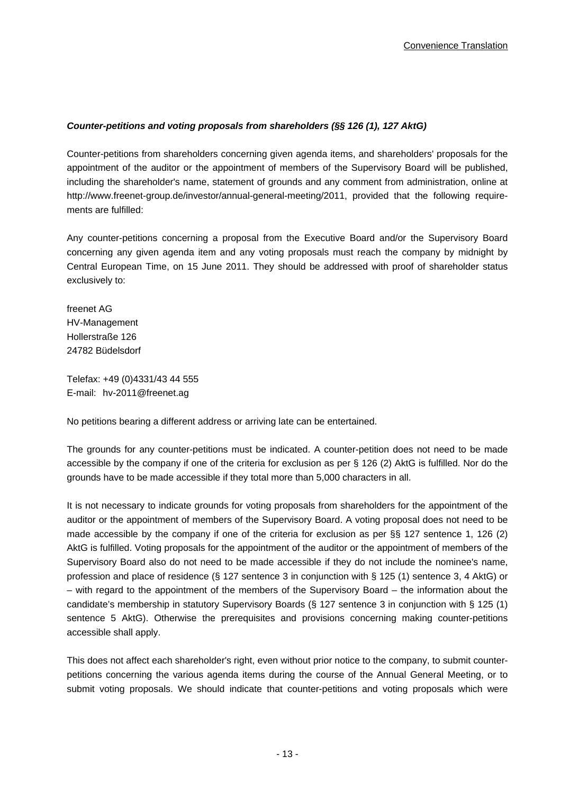# *Counter-petitions and voting proposals from shareholders (§§ 126 (1), 127 AktG)*

Counter-petitions from shareholders concerning given agenda items, and shareholders' proposals for the appointment of the auditor or the appointment of members of the Supervisory Board will be published, including the shareholder's name, statement of grounds and any comment from administration, online at http://www.freenet-group.de/investor/annual-general-meeting/2011, provided that the following requirements are fulfilled:

Any counter-petitions concerning a proposal from the Executive Board and/or the Supervisory Board concerning any given agenda item and any voting proposals must reach the company by midnight by Central European Time, on 15 June 2011. They should be addressed with proof of shareholder status exclusively to:

freenet AG HV-Management Hollerstraße 126 24782 Büdelsdorf

Telefax: +49 (0)4331/43 44 555 E-mail: hv-2011@freenet.ag

No petitions bearing a different address or arriving late can be entertained.

The grounds for any counter-petitions must be indicated. A counter-petition does not need to be made accessible by the company if one of the criteria for exclusion as per § 126 (2) AktG is fulfilled. Nor do the grounds have to be made accessible if they total more than 5,000 characters in all.

It is not necessary to indicate grounds for voting proposals from shareholders for the appointment of the auditor or the appointment of members of the Supervisory Board. A voting proposal does not need to be made accessible by the company if one of the criteria for exclusion as per §§ 127 sentence 1, 126 (2) AktG is fulfilled. Voting proposals for the appointment of the auditor or the appointment of members of the Supervisory Board also do not need to be made accessible if they do not include the nominee's name, profession and place of residence (§ 127 sentence 3 in conjunction with § 125 (1) sentence 3, 4 AktG) or – with regard to the appointment of the members of the Supervisory Board – the information about the candidate's membership in statutory Supervisory Boards (§ 127 sentence 3 in conjunction with § 125 (1) sentence 5 AktG). Otherwise the prerequisites and provisions concerning making counter-petitions accessible shall apply.

This does not affect each shareholder's right, even without prior notice to the company, to submit counterpetitions concerning the various agenda items during the course of the Annual General Meeting, or to submit voting proposals. We should indicate that counter-petitions and voting proposals which were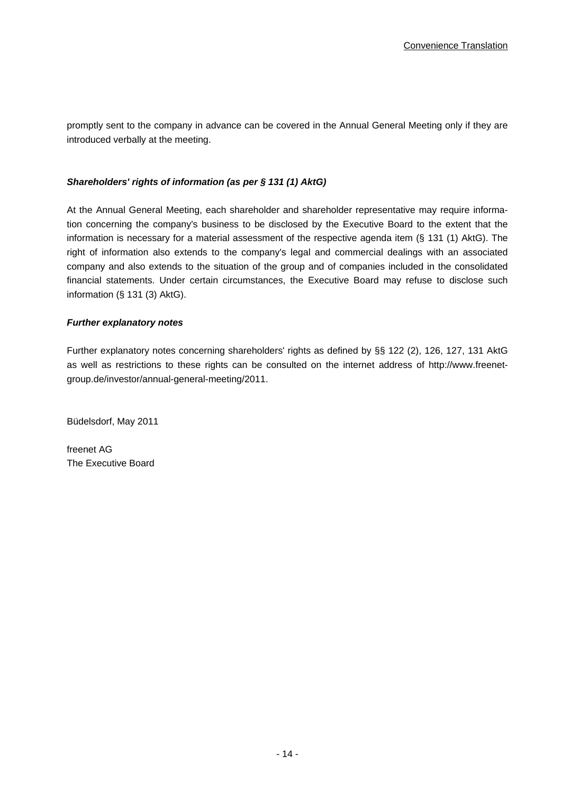promptly sent to the company in advance can be covered in the Annual General Meeting only if they are introduced verbally at the meeting.

## *Shareholders' rights of information (as per § 131 (1) AktG)*

At the Annual General Meeting, each shareholder and shareholder representative may require information concerning the company's business to be disclosed by the Executive Board to the extent that the information is necessary for a material assessment of the respective agenda item (§ 131 (1) AktG). The right of information also extends to the company's legal and commercial dealings with an associated company and also extends to the situation of the group and of companies included in the consolidated financial statements. Under certain circumstances, the Executive Board may refuse to disclose such information (§ 131 (3) AktG).

## *Further explanatory notes*

Further explanatory notes concerning shareholders' rights as defined by §§ 122 (2), 126, 127, 131 AktG as well as restrictions to these rights can be consulted on the internet address of http://www.freenetgroup.de/investor/annual-general-meeting/2011.

Büdelsdorf, May 2011

freenet AG The Executive Board